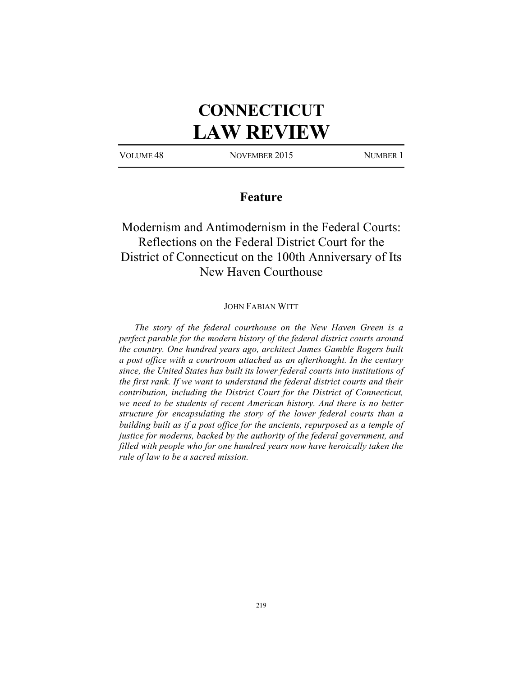# **CONNECTICUT LAW REVIEW**

VOLUME 48 NOVEMBER 2015 NUMBER 1

### **Feature**

# Modernism and Antimodernism in the Federal Courts: Reflections on the Federal District Court for the District of Connecticut on the 100th Anniversary of Its New Haven Courthouse

#### JOHN FABIAN WITT

*The story of the federal courthouse on the New Haven Green is a perfect parable for the modern history of the federal district courts around the country. One hundred years ago, architect James Gamble Rogers built a post office with a courtroom attached as an afterthought. In the century since, the United States has built its lower federal courts into institutions of the first rank. If we want to understand the federal district courts and their contribution, including the District Court for the District of Connecticut, we need to be students of recent American history. And there is no better structure for encapsulating the story of the lower federal courts than a building built as if a post office for the ancients, repurposed as a temple of justice for moderns, backed by the authority of the federal government, and filled with people who for one hundred years now have heroically taken the rule of law to be a sacred mission.*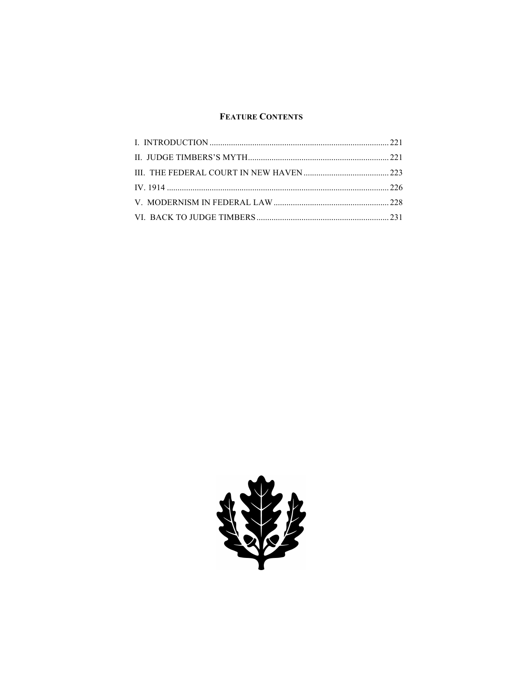### **FEATURE CONTENTS**

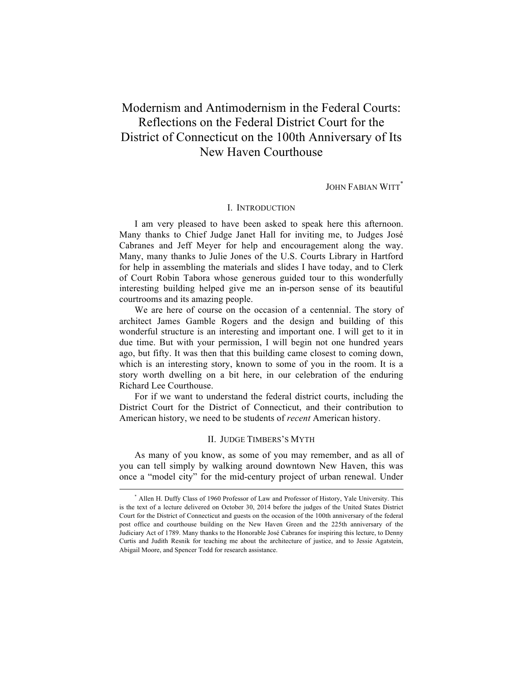## Modernism and Antimodernism in the Federal Courts: Reflections on the Federal District Court for the District of Connecticut on the 100th Anniversary of Its New Haven Courthouse

JOHN FABIAN WITT\*

#### I. INTRODUCTION

I am very pleased to have been asked to speak here this afternoon. Many thanks to Chief Judge Janet Hall for inviting me, to Judges José Cabranes and Jeff Meyer for help and encouragement along the way. Many, many thanks to Julie Jones of the U.S. Courts Library in Hartford for help in assembling the materials and slides I have today, and to Clerk of Court Robin Tabora whose generous guided tour to this wonderfully interesting building helped give me an in-person sense of its beautiful courtrooms and its amazing people.

We are here of course on the occasion of a centennial. The story of architect James Gamble Rogers and the design and building of this wonderful structure is an interesting and important one. I will get to it in due time. But with your permission, I will begin not one hundred years ago, but fifty. It was then that this building came closest to coming down, which is an interesting story, known to some of you in the room. It is a story worth dwelling on a bit here, in our celebration of the enduring Richard Lee Courthouse.

For if we want to understand the federal district courts, including the District Court for the District of Connecticut, and their contribution to American history, we need to be students of *recent* American history.

#### II. JUDGE TIMBERS'S MYTH

As many of you know, as some of you may remember, and as all of you can tell simply by walking around downtown New Haven, this was once a "model city" for the mid-century project of urban renewal. Under

 <sup>\*</sup> Allen H. Duffy Class of 1960 Professor of Law and Professor of History, Yale University. This is the text of a lecture delivered on October 30, 2014 before the judges of the United States District Court for the District of Connecticut and guests on the occasion of the 100th anniversary of the federal post office and courthouse building on the New Haven Green and the 225th anniversary of the Judiciary Act of 1789. Many thanks to the Honorable José Cabranes for inspiring this lecture, to Denny Curtis and Judith Resnik for teaching me about the architecture of justice, and to Jessie Agatstein, Abigail Moore, and Spencer Todd for research assistance.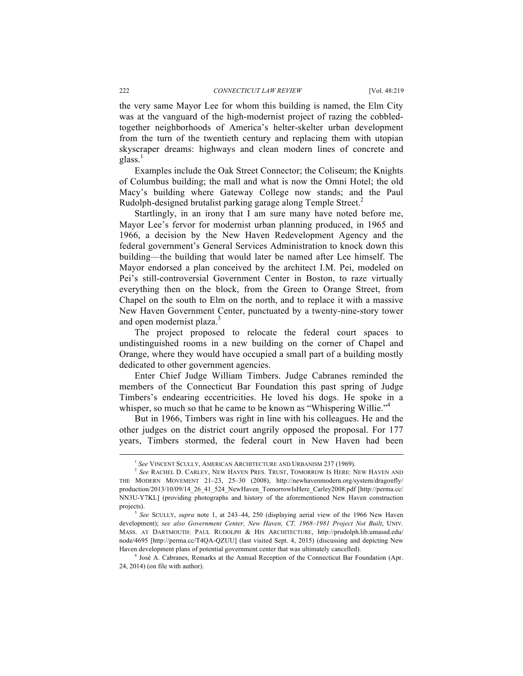#### 222 *CONNECTICUT LAW REVIEW* [Vol. 48:219

the very same Mayor Lee for whom this building is named, the Elm City was at the vanguard of the high-modernist project of razing the cobbledtogether neighborhoods of America's helter-skelter urban development from the turn of the twentieth century and replacing them with utopian skyscraper dreams: highways and clean modern lines of concrete and  $glass.<sup>1</sup>$ 

Examples include the Oak Street Connector; the Coliseum; the Knights of Columbus building; the mall and what is now the Omni Hotel; the old Macy's building where Gateway College now stands; and the Paul Rudolph-designed brutalist parking garage along Temple Street.<sup>2</sup>

Startlingly, in an irony that I am sure many have noted before me, Mayor Lee's fervor for modernist urban planning produced, in 1965 and 1966, a decision by the New Haven Redevelopment Agency and the federal government's General Services Administration to knock down this building—the building that would later be named after Lee himself. The Mayor endorsed a plan conceived by the architect I.M. Pei, modeled on Pei's still-controversial Government Center in Boston, to raze virtually everything then on the block, from the Green to Orange Street, from Chapel on the south to Elm on the north, and to replace it with a massive New Haven Government Center, punctuated by a twenty-nine-story tower and open modernist plaza.<sup>3</sup>

The project proposed to relocate the federal court spaces to undistinguished rooms in a new building on the corner of Chapel and Orange, where they would have occupied a small part of a building mostly dedicated to other government agencies.

Enter Chief Judge William Timbers. Judge Cabranes reminded the members of the Connecticut Bar Foundation this past spring of Judge Timbers's endearing eccentricities. He loved his dogs. He spoke in a whisper, so much so that he came to be known as "Whispering Willie."<sup>4</sup>

But in 1966, Timbers was right in line with his colleagues. He and the other judges on the district court angrily opposed the proposal. For 177 years, Timbers stormed, the federal court in New Haven had been

<sup>&</sup>lt;sup>1</sup> See VINCENT SCULLY, AMERICAN ARCHITECTURE AND URBANISM 237 (1969). <sup>2</sup> See RACHEL D. CARLEY, NEW HAVEN PRES. TRUST, TOMORROW IS HERE: NEW HAVEN AND THE MODERN MOVEMENT 21–23, 25–30 (2008), http://newhavenmodern.org/system/dragonfly/ production/2013/10/09/14\_26\_41\_524\_NewHaven\_TomorrowIsHere\_Carley2008.pdf [http://perma.cc/ NN3U-Y7KL] (providing photographs and history of the aforementioned New Haven construction projects). 3 *See* SCULLY, *supra* note 1, at 243–44, 250 (displaying aerial view of the 1966 New Haven

development); *see also Government Center, New Haven, CT, 1968–1981 Project Not Built*, UNIV. MASS. AT DARTMOUTH: PAUL RUDOLPH & HIS ARCHITECTURE, http://prudolph.lib.umassd.edu/ node/4695 [http://perma.cc/T4QA-QZUU] (last visited Sept. 4, 2015) (discussing and depicting New Haven development plans of potential government center that was ultimately cancelled).

<sup>4</sup> José A. Cabranes, Remarks at the Annual Reception of the Connecticut Bar Foundation (Apr. 24, 2014) (on file with author).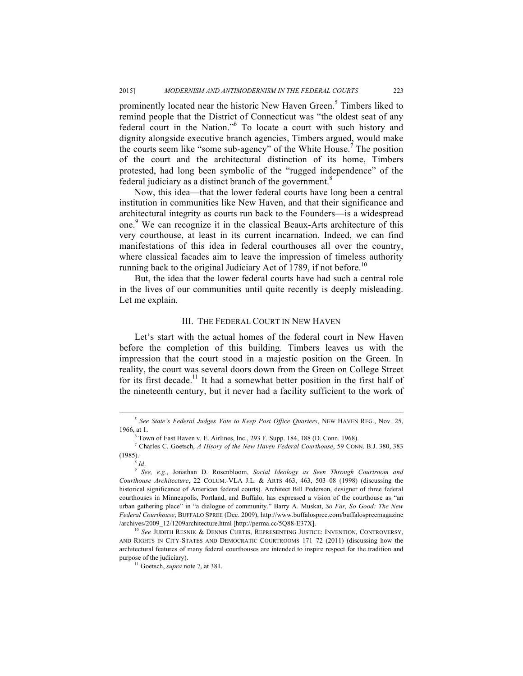prominently located near the historic New Haven Green.<sup>5</sup> Timbers liked to remind people that the District of Connecticut was "the oldest seat of any federal court in the Nation."<sup>6</sup> To locate a court with such history and dignity alongside executive branch agencies, Timbers argued, would make the courts seem like "some sub-agency" of the White House.<sup>7</sup> The position of the court and the architectural distinction of its home, Timbers protested, had long been symbolic of the "rugged independence" of the federal judiciary as a distinct branch of the government.<sup>8</sup>

Now, this idea—that the lower federal courts have long been a central institution in communities like New Haven, and that their significance and architectural integrity as courts run back to the Founders—is a widespread one.<sup>9</sup> We can recognize it in the classical Beaux-Arts architecture of this very courthouse, at least in its current incarnation. Indeed, we can find manifestations of this idea in federal courthouses all over the country, where classical facades aim to leave the impression of timeless authority running back to the original Judiciary Act of 1789, if not before.<sup>10</sup>

But, the idea that the lower federal courts have had such a central role in the lives of our communities until quite recently is deeply misleading. Let me explain.

#### III. THE FEDERAL COURT IN NEW HAVEN

Let's start with the actual homes of the federal court in New Haven before the completion of this building. Timbers leaves us with the impression that the court stood in a majestic position on the Green. In reality, the court was several doors down from the Green on College Street for its first decade.<sup>11</sup> It had a somewhat better position in the first half of the nineteenth century, but it never had a facility sufficient to the work of

 <sup>5</sup> *See State's Federal Judges Vote to Keep Post Office Quarters*, NEW HAVEN REG., Nov. 25, 1966, at 1.

<sup>6</sup> Town of East Haven v. E. Airlines, Inc., 293 F. Supp. 184, 188 (D. Conn. 1968). 7 Charles C. Goetsch, *A Hisory of the New Haven Federal Courthouse*, 59 CONN. B.J. 380, <sup>383</sup>

<sup>(1985).</sup>

<sup>8</sup> *Id*. 9 *See, e.g.*, Jonathan D. Rosenbloom, *Social Ideology as Seen Through Courtroom and Courthouse Architecture*, 22 COLUM.-VLA J.L. & ARTS 463, 463, 503–08 (1998) (discussing the historical significance of American federal courts). Architect Bill Pederson, designer of three federal courthouses in Minneapolis, Portland, and Buffalo, has expressed a vision of the courthouse as "an urban gathering place" in "a dialogue of community." Barry A. Muskat, *So Far, So Good: The New Federal Courthouse*, BUFFALO SPREE (Dec. 2009), http://www.buffalospree.com/buffalospreemagazine /archives/2009\_12/1209architecture.html [http://perma.cc/5Q88-E37X].

<sup>10</sup> *See* JUDITH RESNIK & DENNIS CURTIS, REPRESENTING JUSTICE: INVENTION, CONTROVERSY, AND RIGHTS IN CITY-STATES AND DEMOCRATIC COURTROOMS 171–72 (2011) (discussing how the architectural features of many federal courthouses are intended to inspire respect for the tradition and purpose of the judiciary).<br><sup>11</sup> Goetsch, *supra* note 7, at 381.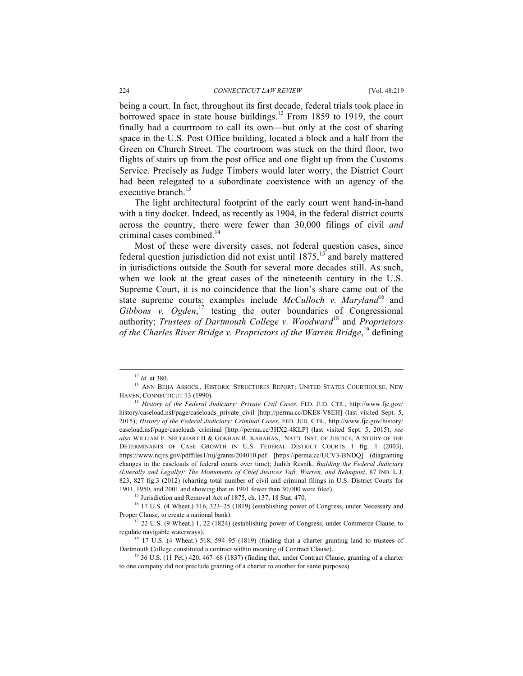#### 224 *CONNECTICUT LAW REVIEW* [Vol. 48:219

being a court. In fact, throughout its first decade, federal trials took place in borrowed space in state house buildings.<sup>12</sup> From 1859 to 1919, the court finally had a courtroom to call its own—but only at the cost of sharing space in the U.S. Post Office building, located a block and a half from the Green on Church Street. The courtroom was stuck on the third floor, two flights of stairs up from the post office and one flight up from the Customs Service. Precisely as Judge Timbers would later worry, the District Court had been relegated to a subordinate coexistence with an agency of the executive branch.<sup>13</sup>

The light architectural footprint of the early court went hand-in-hand with a tiny docket. Indeed, as recently as 1904, in the federal district courts across the country, there were fewer than 30,000 filings of civil *and* criminal cases combined. 14

Most of these were diversity cases, not federal question cases, since federal question jurisdiction did not exist until  $1875$ ,<sup>15</sup> and barely mattered in jurisdictions outside the South for several more decades still. As such, when we look at the great cases of the nineteenth century in the U.S. Supreme Court, it is no coincidence that the lion's share came out of the state supreme courts: examples include *McCulloch v. Maryland*<sup>16</sup> and Gibbons v. Ogden,<sup>17</sup> testing the outer boundaries of Congressional authority; *Trustees of Dartmouth College v. Woodward*<sup>18</sup> and *Proprietors of the Charles River Bridge v. Proprietors of the Warren Bridge*, <sup>19</sup> defining

1901, 1950, and 2001 and showing that in 1901 fewer than 30,000 were filed).<br><sup>15</sup> Jurisdiction and Removal Act of 1875, ch. 137, 18 Stat. 470.<br><sup>16</sup> 17 U.S. (4 Wheat.) 316, 323–25 (1819) (establishing power of Congress, un Proper Clause, to create a national bank).<br><sup>17</sup> 22 U.S. (9 Wheat.) 1, 22 (1824) (establishing power of Congress, under Commerce Clause, to

regulate navigable waterways).<br><sup>18</sup> 17 U.S. (4 Wheat.) 518, 594–95 (1819) (finding that a charter granting land to trustees of

Dartmouth College constituted a contract within meaning of Contract Clause).<br><sup>19</sup> 36 U.S. (11 Pet.) 420, 467–68 (1837) (finding that, under Contract Clause, granting of a charter to one company did not preclude granting of a charter to another for same purposes).

 $^{12}$   $Id$ . at 380. 13 ANN BEHA ASSOCS., HISTORIC STRUCTURES REPORT: UNITED STATES COURTHOUSE, NEW HAVEN, CONNECTICUT 13 (1990).

<sup>&</sup>lt;sup>14</sup> History of the Federal Judiciary: Private Civil Cases, FED. JUD. CTR., http://www.fjc.gov/ history/caseload.nsf/page/caseloads\_private\_civil [http://perma.cc/DKE8-V8EH] (last visited Sept. 5, 2015); *History of the Federal Judiciary: Criminal Cases*, FED. JUD. CTR., http://www.fjc.gov/history/ caseload.nsf/page/caseloads\_criminal [http://perma.cc/3HX2-4KLP] (last visited Sept. 5, 2015); *see also* WILLIAM F. SHUGHART II & GÖKHAN R. KARAHAN, NAT'L INST. OF JUSTICE, A STUDY OF THE DETERMINANTS OF CASE GROWTH IN U.S. FEDERAL DISTRICT COURTS 1 fig. 1 (2003), https://www.ncjrs.gov/pdffiles1/nij/grants/204010.pdf [https://perma.cc/UCV3-BNDQ] (diagraming changes in the caseloads of federal courts over time); Judith Resnik, *Building the Federal Judiciary (Literally and Legally): The Monuments of Chief Justices Taft, Warren, and Rehnquist*, 87 IND. L.J. 823, 827 fig.3 (2012) (charting total number of civil and criminal filings in U.S. District Courts for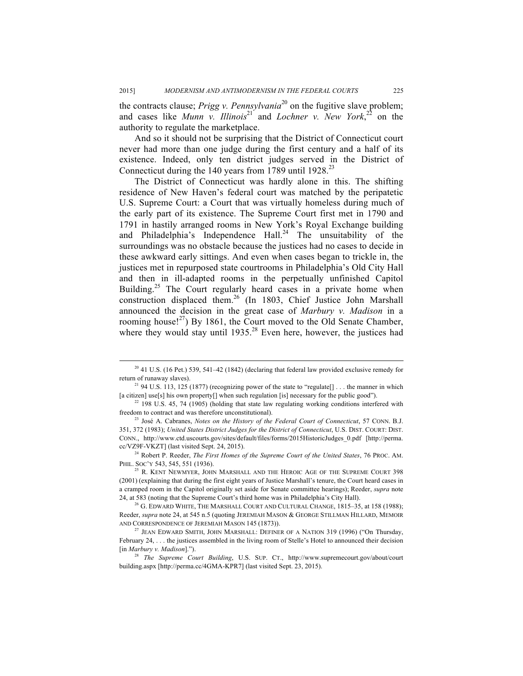the contracts clause; *Prigg v. Pennsylvania*<sup>20</sup> on the fugitive slave problem; and cases like *Munn v. Illinois*<sup>21</sup> and *Lochner v. New York*<sup>22</sup> on the authority to regulate the marketplace.

And so it should not be surprising that the District of Connecticut court never had more than one judge during the first century and a half of its existence. Indeed, only ten district judges served in the District of Connecticut during the 140 years from 1789 until 1928.<sup>23</sup>

The District of Connecticut was hardly alone in this. The shifting residence of New Haven's federal court was matched by the peripatetic U.S. Supreme Court: a Court that was virtually homeless during much of the early part of its existence. The Supreme Court first met in 1790 and 1791 in hastily arranged rooms in New York's Royal Exchange building and Philadelphia's Independence Hall.<sup>24</sup> The unsuitability of the surroundings was no obstacle because the justices had no cases to decide in these awkward early sittings. And even when cases began to trickle in, the justices met in repurposed state courtrooms in Philadelphia's Old City Hall and then in ill-adapted rooms in the perpetually unfinished Capitol Building.<sup>25</sup> The Court regularly heard cases in a private home when construction displaced them.<sup>26</sup> (In 1803, Chief Justice John Marshall announced the decision in the great case of *Marbury v. Madison* in a rooming house!<sup>27</sup>) By 1861, the Court moved to the Old Senate Chamber, where they would stay until  $1935<sup>28</sup>$  Even here, however, the justices had

<sup>&</sup>lt;sup>20</sup> 41 U.S. (16 Pet.) 539, 541–42 (1842) (declaring that federal law provided exclusive remedy for return of runaway slaves).<br><sup>21</sup> 94 U.S. 113, 125 (1877) (recognizing power of the state to "regulate[] . . . the manner in which

<sup>[</sup>a citizen] use[s] his own property[] when such regulation [is] necessary for the public good"). <sup>22</sup> 198 U.S. 45, 74 (1905) (holding that state law regulating working conditions interfered with

freedom to contract and was therefore unconstitutional). 23 José A. Cabranes, *Notes on the History of the Federal Court of Connecticut*, 57 CONN. B.J.

<sup>351, 372 (1983);</sup> *United States District Judges for the District of Connecticut*, U.S. DIST. COURT: DIST. CONN., http://www.ctd.uscourts.gov/sites/default/files/forms/2015HistoricJudges\_0.pdf [http://perma. cc/VZ9F-VKZT] (last visited Sept. 24, 2015).

<sup>24</sup> Robert P. Reeder, *The First Homes of the Supreme Court of the United States*, 76 PROC. AM. PHIL. SOC'Y 543, 545, 551 (1936).

<sup>&</sup>lt;sup>25</sup> R. KENT NEWMYER, JOHN MARSHALL AND THE HEROIC AGE OF THE SUPREME COURT 398 (2001) (explaining that during the first eight years of Justice Marshall's tenure, the Court heard cases in a cramped room in the Capitol originally set aside for Senate committee hearings); Reeder, *supra* note 24, at 583 (noting that the Supreme Court's third home was in Philadelphia's City Hall).

 $26$  G. EDWARD WHITE, THE MARSHALL COURT AND CULTURAL CHANGE, 1815–35, at 158 (1988); Reeder, *supra* note 24, at 545 n.5 (quoting JEREMIAH MASON & GEORGE STILLMAN HILLARD, MEMOIR AND CORRESPONDENCE OF JEREMIAH MASON 145 (1873)).

<sup>&</sup>lt;sup>27</sup> JEAN EDWARD SMITH, JOHN MARSHALL: DEFINER OF A NATION 319 (1996) ("On Thursday, February 24, . . . the justices assembled in the living room of Stelle's Hotel to announced their decision [in *Marbury v. Madison*].").

<sup>28</sup> *The Supreme Court Building*, U.S. SUP. CT., http://www.supremecourt.gov/about/court building.aspx [http://perma.cc/4GMA-KPR7] (last visited Sept. 23, 2015).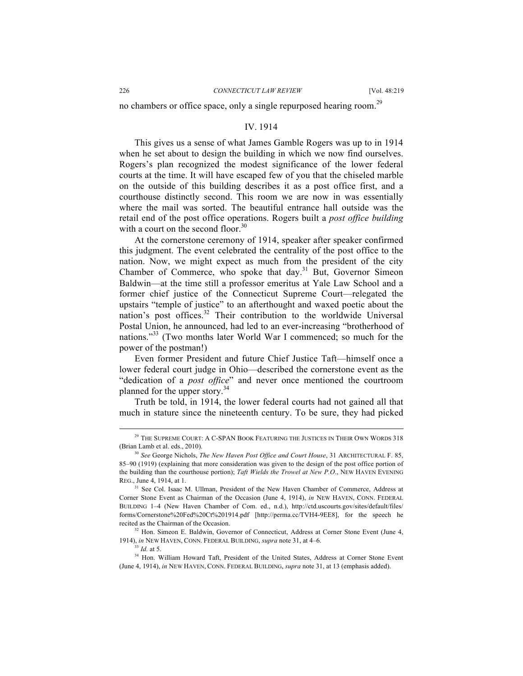no chambers or office space, only a single repurposed hearing room.<sup>29</sup>

#### IV. 1914

This gives us a sense of what James Gamble Rogers was up to in 1914 when he set about to design the building in which we now find ourselves. Rogers's plan recognized the modest significance of the lower federal courts at the time. It will have escaped few of you that the chiseled marble on the outside of this building describes it as a post office first, and a courthouse distinctly second. This room we are now in was essentially where the mail was sorted. The beautiful entrance hall outside was the retail end of the post office operations. Rogers built a *post office building* with a court on the second floor.<sup>30</sup>

At the cornerstone ceremony of 1914, speaker after speaker confirmed this judgment. The event celebrated the centrality of the post office to the nation. Now, we might expect as much from the president of the city Chamber of Commerce, who spoke that day.<sup>31</sup> But, Governor Simeon Baldwin—at the time still a professor emeritus at Yale Law School and a former chief justice of the Connecticut Supreme Court—relegated the upstairs "temple of justice" to an afterthought and waxed poetic about the nation's post offices.<sup>32</sup> Their contribution to the worldwide Universal Postal Union, he announced, had led to an ever-increasing "brotherhood of nations."<sup>33</sup> (Two months later World War I commenced; so much for the power of the postman!)

Even former President and future Chief Justice Taft—himself once a lower federal court judge in Ohio—described the cornerstone event as the "dedication of a *post office*" and never once mentioned the courtroom planned for the upper story.<sup>34</sup>

Truth be told, in 1914, the lower federal courts had not gained all that much in stature since the nineteenth century. To be sure, they had picked

<sup>&</sup>lt;sup>29</sup> THE SUPREME COURT: A C-SPAN BOOK FEATURING THE JUSTICES IN THEIR OWN WORDS 318 (Brian Lamb et al. eds., 2010).

<sup>30</sup> *See* George Nichols, *The New Haven Post Office and Court House*, 31 ARCHITECTURAL F. 85, 85–90 (1919) (explaining that more consideration was given to the design of the post office portion of the building than the courthouse portion); *Taft Wields the Trowel at New P.O*., NEW HAVEN EVENING REG., June 4, 1914, at 1.

<sup>&</sup>lt;sup>31</sup> See Col. Isaac M. Ullman, President of the New Haven Chamber of Commerce, Address at Corner Stone Event as Chairman of the Occasion (June 4, 1914), *in* NEW HAVEN, CONN. FEDERAL BUILDING 1–4 (New Haven Chamber of Com. ed., n.d.), http://ctd.uscourts.gov/sites/default/files/ forms/Cornerstone%20Fed%20Ct%201914.pdf [http://perma.cc/TVH4-9EE8], for the speech he recited as the Chairman of the Occasion.<br><sup>32</sup> Hon. Simeon E. Baldwin, Governor of Connecticut, Address at Corner Stone Event (June 4,

<sup>1914),</sup> *in* NEW HAVEN, CONN. FEDERAL BUILDING, *supra* note 31, at 4–6.

<sup>33</sup> *Id.* at 5.

<sup>34</sup> Hon. William Howard Taft, President of the United States, Address at Corner Stone Event (June 4, 1914), *in* NEW HAVEN, CONN. FEDERAL BUILDING, *supra* note 31, at 13 (emphasis added).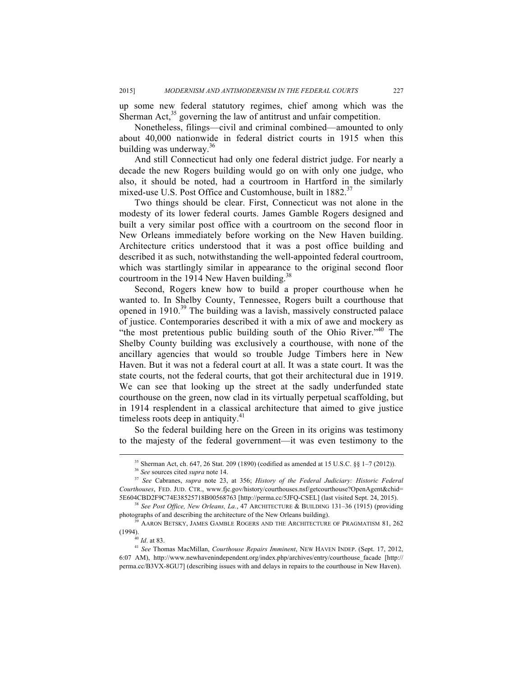up some new federal statutory regimes, chief among which was the Sherman Act, $^{35}$  governing the law of antitrust and unfair competition.

Nonetheless, filings—civil and criminal combined—amounted to only about 40,000 nationwide in federal district courts in 1915 when this building was underway. $36$ 

And still Connecticut had only one federal district judge. For nearly a decade the new Rogers building would go on with only one judge, who also, it should be noted, had a courtroom in Hartford in the similarly mixed-use U.S. Post Office and Customhouse, built in 1882.<sup>37</sup>

Two things should be clear. First, Connecticut was not alone in the modesty of its lower federal courts. James Gamble Rogers designed and built a very similar post office with a courtroom on the second floor in New Orleans immediately before working on the New Haven building. Architecture critics understood that it was a post office building and described it as such, notwithstanding the well-appointed federal courtroom, which was startlingly similar in appearance to the original second floor courtroom in the 1914 New Haven building.<sup>38</sup>

Second, Rogers knew how to build a proper courthouse when he wanted to. In Shelby County, Tennessee, Rogers built a courthouse that opened in 1910.<sup>39</sup> The building was a lavish, massively constructed palace of justice. Contemporaries described it with a mix of awe and mockery as "the most pretentious public building south of the Ohio River."<sup>40</sup> The Shelby County building was exclusively a courthouse, with none of the ancillary agencies that would so trouble Judge Timbers here in New Haven. But it was not a federal court at all. It was a state court. It was the state courts, not the federal courts, that got their architectural due in 1919. We can see that looking up the street at the sadly underfunded state courthouse on the green, now clad in its virtually perpetual scaffolding, but in 1914 resplendent in a classical architecture that aimed to give justice timeless roots deep in antiquity.<sup>41</sup>

So the federal building here on the Green in its origins was testimony to the majesty of the federal government—it was even testimony to the

<sup>&</sup>lt;sup>35</sup> Sherman Act, ch. 647, 26 Stat. 209 (1890) (codified as amended at 15 U.S.C. §§ 1–7 (2012)).<sup>36</sup> See sources cited *supra* note 14.

<sup>&</sup>lt;sup>37</sup> See Cabranes, *supra* note 23, at 356; *History of the Federal Judiciary: Historic Federal Courthouses*, FED. JUD. CTR., www.fjc.gov/history/courthouses.nsf/getcourthouse?OpenAgent&chid= 5E604CBD2F9C74E38525718B00568763 [http://perma.cc/5JFQ-CSEL] (last visited Sept. 24, 2015). 38 *See Post Office, New Orleans, La.*, 47 ARCHITECTURE & BUILDING 131–36 (1915) (providing

photographs of and describing the architecture of the New Orleans building).

<sup>39</sup> AARON BETSKY, JAMES GAMBLE ROGERS AND THE ARCHITECTURE OF PRAGMATISM 81, 262 (1994). 40 *Id*. at 83.

<sup>41</sup> *See* Thomas MacMillan, *Courthouse Repairs Imminent*, NEW HAVEN INDEP. (Sept. 17, 2012, 6:07 AM), http://www.newhavenindependent.org/index.php/archives/entry/courthouse\_facade [http:// perma.cc/B3VX-8GU7] (describing issues with and delays in repairs to the courthouse in New Haven).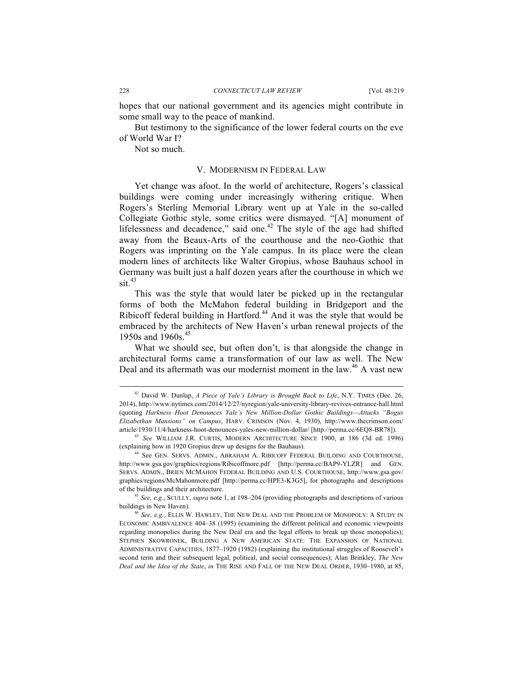hopes that our national government and its agencies might contribute in some small way to the peace of mankind.

But testimony to the significance of the lower federal courts on the eve of World War I?

Not so much.

#### V. MODERNISM IN FEDERAL LAW

Yet change was afoot. In the world of architecture, Rogers's classical buildings were coming under increasingly withering critique. When Rogers's Sterling Memorial Library went up at Yale in the so-called Collegiate Gothic style, some critics were dismayed. "[A] monument of lifelessness and decadence," said one.<sup>42</sup> The style of the age had shifted away from the Beaux-Arts of the courthouse and the neo-Gothic that Rogers was imprinting on the Yale campus. In its place were the clean modern lines of architects like Walter Gropius, whose Bauhaus school in Germany was built just a half dozen years after the courthouse in which we  $\sin^{43}$ 

This was the style that would later be picked up in the rectangular forms of both the McMahon federal building in Bridgeport and the Ribicoff federal building in Hartford.<sup>44</sup> And it was the style that would be embraced by the architects of New Haven's urban renewal projects of the 1950s and 1960s.<sup>45</sup>

What we should see, but often don't, is that alongside the change in architectural forms came a transformation of our law as well. The New Deal and its aftermath was our modernist moment in the law.<sup>46</sup> A vast new

 <sup>42</sup> David W. Dunlap, *A Piece of Yale's Library is Brought Back to Life*, N.Y. TIMES (Dec. 26, 2014), http://www.nytimes.com/2014/12/27/nyregion/yale-university-library-revives-entrance-hall.html (quoting *Harkness Hoot Denounces Yale's New Million-Dollar Gothic Buildings—Attacks "Bogus Elizabethan Mansions" on Campus*, HARV. CRIMSON (Nov. 4, 1930), http://www.thecrimson.com/ article/1930/11/4/harkness-hoot-denounces-yales-new-million-dollar/ [http://perma.cc/6EQ8-BR78]). 43 *See* WILLIAM J.R. CURTIS, MODERN ARCHITECTURE SINCE 1900, at 186 (3d ed. 1996)

<sup>(</sup>explaining how in 1920 Gropius drew up designs for the Bauhaus).

<sup>44</sup> See GEN. SERVS. ADMIN., ABRAHAM A. RIBICOFF FEDERAL BUILDING AND COURTHOUSE, http://www.gsa.gov/graphics/regions/Ribicoffmore.pdf [http://perma.cc/BAP9-YLZR] and GEN. SERVS. ADMIN., BRIEN MCMAHON FEDERAL BUILDING AND U.S. COURTHOUSE, http://www.gsa.gov/ graphics/regions/McMahonmore.pdf [http://perma.cc/HPE3-K3G5], for photographs and descriptions of the buildings and their architecture. 45 *See, e.g.*, SCULLY, *supra* note 1, at 198–204 (providing photographs and descriptions of various

buildings in New Haven).

<sup>46</sup> *See, e.g.*, ELLIS W. HAWLEY, THE NEW DEAL AND THE PROBLEM OF MONOPOLY: A STUDY IN ECONOMIC AMBIVALENCE 404–38 (1995) (examining the different political and economic viewpoints regarding monopolies during the New Deal era and the legal efforts to break up those monopolies); STEPHEN SKOWRONEK, BUILDING A NEW AMERICAN STATE: THE EXPANSION OF NATIONAL ADMINISTRATIVE CAPACITIES, 1877–1920 (1982) (explaining the institutional struggles of Roosevelt's second term and their subsequent legal, political, and social consequences); Alan Brinkley, *The New Deal and the Idea of the State*, *in* THE RISE AND FALL OF THE NEW DEAL ORDER, 1930–1980, at 85,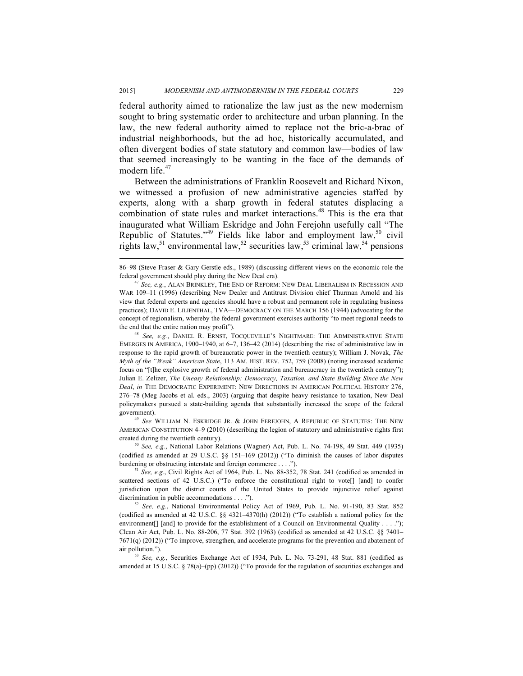federal authority aimed to rationalize the law just as the new modernism sought to bring systematic order to architecture and urban planning. In the law, the new federal authority aimed to replace not the bric-a-brac of industrial neighborhoods, but the ad hoc, historically accumulated, and often divergent bodies of state statutory and common law—bodies of law that seemed increasingly to be wanting in the face of the demands of modern life.<sup>47</sup>

Between the administrations of Franklin Roosevelt and Richard Nixon, we witnessed a profusion of new administrative agencies staffed by experts, along with a sharp growth in federal statutes displacing a combination of state rules and market interactions.<sup>48</sup> This is the era that inaugurated what William Eskridge and John Ferejohn usefully call "The Republic of Statutes."<sup>49</sup> Fields like labor and employment law,<sup>50</sup> civil rights law,<sup>51</sup> environmental law,<sup>52</sup> securities law,<sup>53</sup> criminal law,<sup>54</sup> pensions

EMERGES IN AMERICA, 1900–1940, at 6–7, 136–42 (2014) (describing the rise of administrative law in response to the rapid growth of bureaucratic power in the twentieth century); William J. Novak, *The Myth of the "Weak" American State*, 113 AM. HIST. REV. 752, 759 (2008) (noting increased academic focus on "[t]he explosive growth of federal administration and bureaucracy in the twentieth century"); Julian E. Zelizer, *The Uneasy Relationship: Democracy, Taxation, and State Building Since the New Deal*, *in* THE DEMOCRATIC EXPERIMENT: NEW DIRECTIONS IN AMERICAN POLITICAL HISTORY 276, 276–78 (Meg Jacobs et al. eds., 2003) (arguing that despite heavy resistance to taxation, New Deal policymakers pursued a state-building agenda that substantially increased the scope of the federal government).

<sup>49</sup> *See* WILLIAM N. ESKRIDGE JR. & JOHN FEREJOHN, A REPUBLIC OF STATUTES: THE NEW AMERICAN CONSTITUTION 4–9 (2010) (describing the legion of statutory and administrative rights first created during the twentieth century).

<sup>50</sup> *See, e.g.*, National Labor Relations (Wagner) Act, Pub. L. No. 74-198, 49 Stat. 449 (1935) (codified as amended at 29 U.S.C. §§ 151–169 (2012)) ("To diminish the causes of labor disputes burdening or obstructing interstate and foreign commerce . . . .").<br><sup>51</sup> *See, e.g.*, Civil Rights Act of 1964, Pub. L. No. 88-352, 78 Stat. 241 (codified as amended in

scattered sections of 42 U.S.C.) ("To enforce the constitutional right to vote[] [and] to confer jurisdiction upon the district courts of the United States to provide injunctive relief against discrimination in public accommodations . . . .").<br><sup>52</sup> *See, e.g.*, National Environmental Policy Act of 1969, Pub. L. No. 91-190, 83 Stat. 852

(codified as amended at 42 U.S.C. §§ 4321–4370(h) (2012)) ("To establish a national policy for the environment[] [and] to provide for the establishment of a Council on Environmental Quality . . . ."); Clean Air Act, Pub. L. No. 88-206, 77 Stat. 392 (1963) (codified as amended at 42 U.S.C. §§ 7401– 7671(q) (2012)) ("To improve, strengthen, and accelerate programs for the prevention and abatement of air pollution.").

<sup>53</sup> *See, e.g.*, Securities Exchange Act of 1934, Pub. L. No. 73-291, 48 Stat. 881 (codified as amended at 15 U.S.C. § 78(a)–(pp) (2012)) ("To provide for the regulation of securities exchanges and

 <sup>86–98 (</sup>Steve Fraser & Gary Gerstle eds., 1989) (discussing different views on the economic role the federal government should play during the New Deal era).

*See, e.g., ALAN BRINKLEY, THE END OF REFORM: NEW DEAL LIBERALISM IN RECESSION AND* WAR 109–11 (1996) (describing New Dealer and Antitrust Division chief Thurman Arnold and his view that federal experts and agencies should have a robust and permanent role in regulating business practices); DAVID E. LILIENTHAL, TVA—DEMOCRACY ON THE MARCH 156 (1944) (advocating for the concept of regionalism, whereby the federal government exercises authority "to meet regional needs to the end that the entire nation may profit").<br><sup>48</sup> *See, e.g.*, DANIEL R. ERNST, TOCQUEVILLE'S NIGHTMARE: THE ADMINISTRATIVE STATE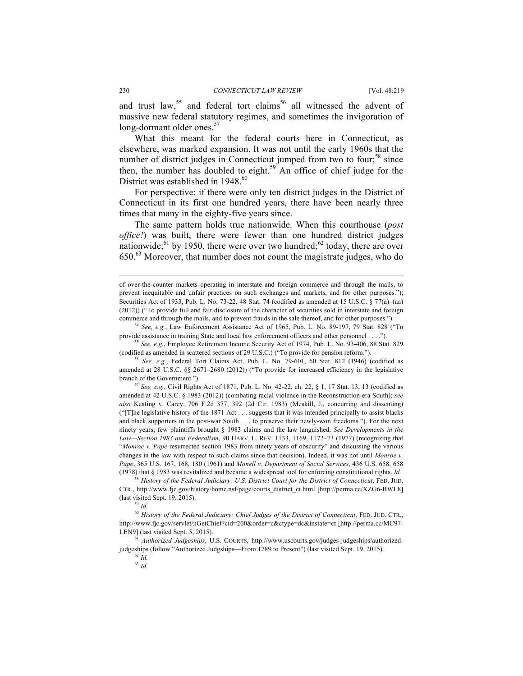and trust law,  $55$  and federal tort claims  $56$  all witnessed the advent of massive new federal statutory regimes, and sometimes the invigoration of long-dormant older ones.<sup>57</sup>

What this meant for the federal courts here in Connecticut, as elsewhere, was marked expansion. It was not until the early 1960s that the number of district judges in Connecticut jumped from two to four; $58 \text{ since}$ then, the number has doubled to eight.<sup>59</sup> An office of chief judge for the District was established in 1948.<sup>60</sup>

For perspective: if there were only ten district judges in the District of Connecticut in its first one hundred years, there have been nearly three times that many in the eighty-five years since.

The same pattern holds true nationwide. When this courthouse (*post office!*) was built, there were fewer than one hundred district judges nationwide;<sup>61</sup> by 1950, there were over two hundred;<sup>62</sup> today, there are over 650. <sup>63</sup> Moreover, that number does not count the magistrate judges, who do

<sup>59</sup> *Id.* 

of over-the-counter markets operating in interstate and foreign commerce and through the mails, to prevent inequitable and unfair practices on such exchanges and markets, and for other purposes."); Securities Act of 1933, Pub. L. No. 73-22, 48 Stat. 74 (codified as amended at 15 U.S.C. § 77(a)–(aa) (2012)) ("To provide full and fair disclosure of the character of securities sold in interstate and foreign commerce and through the mails, and to prevent frauds in the sale thereof, and for other purposes.").

<sup>54</sup> *See, e.g.*, Law Enforcement Assistance Act of 1965, Pub. L. No. 89-197, 79 Stat. 828 ("To provide assistance in training State and local law enforcement officers and other personnel . . . ."). 55 *See, e.g.*, Employee Retirement Income Security Act of 1974, Pub. L. No. 93-406, 88 Stat. 829

<sup>(</sup>codified as amended in scattered sections of 29 U.S.C.) ("To provide for pension reform.").

<sup>56</sup> *See, e.g*., Federal Tort Claims Act, Pub. L. No. 79-601, 60 Stat. 812 (1946) (codified as amended at 28 U.S.C. §§ 2671–2680 (2012)) ("To provide for increased efficiency in the legislative branch of the Government.").

<sup>57</sup> *See, e.g.*, Civil Rights Act of 1871, Pub. L. No. 42-22, ch. 22, § 1, 17 Stat. 13, 13 (codified as amended at 42 U.S.C. § 1983 (2012)) (combating racial violence in the Reconstruction-era South); *see also* Keating v. Carey, 706 F.2d 377, 392 (2d Cir. 1983) (Meskill, J., concurring and dissenting) ("[T]he legislative history of the 1871 Act . . . suggests that it was intended principally to assist blacks and black supporters in the post-war South . . . to preserve their newly-won freedoms."). For the next ninety years, few plaintiffs brought § 1983 claims and the law languished. *See Developments in the Law—Section 1983 and Federalism*, 90 HARV. L. REV. 1133, 1169, 1172–73 (1977) (recognizing that "*Monroe v. Pape* resurrected section 1983 from ninety years of obscurity" and discussing the various changes in the law with respect to such claims since that decision). Indeed, it was not until *Monroe v. Pape*, 365 U.S. 167, 168, 180 (1961) and *Monell v. Department of Social Services*, 436 U.S. 658, 658 (1978) that § 1983 was revitalized and became a widespread tool for enforcing constitutional rights. *Id.*

<sup>58</sup> *History of the Federal Judiciary: U.S. District Court for the District of Connecticut*, FED. JUD. CTR., http://www.fjc.gov/history/home.nsf/page/courts\_district\_ct.html [http://perma.cc/XZG6-BWL8] (last visited Sept. 19, 2015).

<sup>60</sup> *History of the Federal Judiciary: Chief Judges of the District of Connecticut*, FED. JUD. CTR., http://www.fjc.gov/servlet/nGetChief?cid=200&order=c&ctype=dc&instate=ct [http://perma.cc/MC97- LEN9] (last visited Sept. 5, 2015).

<sup>61</sup> *Authorized Judgeships*, U.S. COURTS, http://www.uscourts.gov/judges-judgeships/authorizedjudgeships (follow "Authorized Judgships—From 1789 to Present") (last visited Sept. 19, 2015).

 $^{62}$   $\emph{Id.}$ 

<sup>63</sup> *Id.*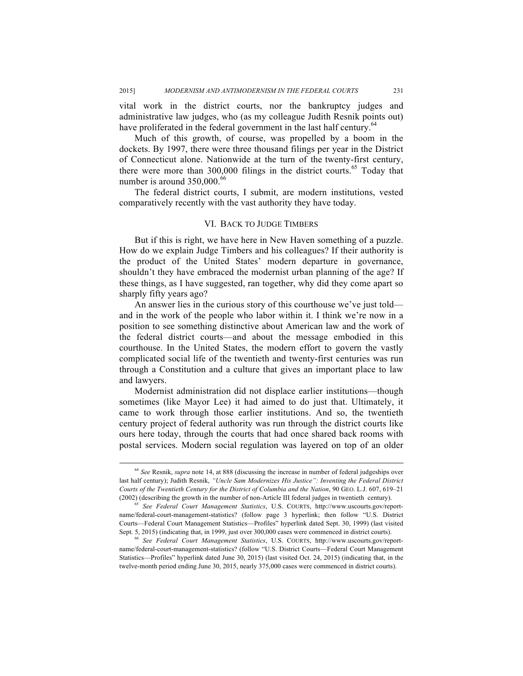vital work in the district courts, nor the bankruptcy judges and administrative law judges, who (as my colleague Judith Resnik points out) have proliferated in the federal government in the last half century.<sup>64</sup>

Much of this growth, of course, was propelled by a boom in the dockets. By 1997, there were three thousand filings per year in the District of Connecticut alone. Nationwide at the turn of the twenty-first century, there were more than 300,000 filings in the district courts.<sup>65</sup> Today that number is around 350,000.<sup>66</sup>

The federal district courts, I submit, are modern institutions, vested comparatively recently with the vast authority they have today.

#### VI. BACK TO JUDGE TIMBERS

But if this is right, we have here in New Haven something of a puzzle. How do we explain Judge Timbers and his colleagues? If their authority is the product of the United States' modern departure in governance, shouldn't they have embraced the modernist urban planning of the age? If these things, as I have suggested, ran together, why did they come apart so sharply fifty years ago?

An answer lies in the curious story of this courthouse we've just told and in the work of the people who labor within it. I think we're now in a position to see something distinctive about American law and the work of the federal district courts—and about the message embodied in this courthouse. In the United States, the modern effort to govern the vastly complicated social life of the twentieth and twenty-first centuries was run through a Constitution and a culture that gives an important place to law and lawyers.

Modernist administration did not displace earlier institutions—though sometimes (like Mayor Lee) it had aimed to do just that. Ultimately, it came to work through those earlier institutions. And so, the twentieth century project of federal authority was run through the district courts like ours here today, through the courts that had once shared back rooms with postal services. Modern social regulation was layered on top of an older

 <sup>64</sup> *See* Resnik, *supra* note 14, at 888 (discussing the increase in number of federal judgeships over last half century); Judith Resnik, *"Uncle Sam Modernizes His Justice": Inventing the Federal District Courts of the Twentieth Century for the District of Columbia and the Nation*, 90 GEO. L.J. 607, 619–21 (2002) (describing the growth in the number of non-Article III federal judges in twentieth century).

<sup>65</sup> *See Federal Court Management Statistics*, U.S. COURTS, http://www.uscourts.gov/reportname/federal-court-management-statistics? (follow page 3 hyperlink; then follow "U.S. District Courts—Federal Court Management Statistics—Profiles" hyperlink dated Sept. 30, 1999) (last visited Sept. 5, 2015) (indicating that, in 1999, just over 300,000 cases were commenced in district courts).

<sup>66</sup> *See Federal Court Management Statistics*, U.S. COURTS, http://www.uscourts.gov/reportname/federal-court-management-statistics? (follow "U.S. District Courts—Federal Court Management Statistics—Profiles" hyperlink dated June 30, 2015) (last visited Oct. 24, 2015) (indicating that, in the twelve-month period ending June 30, 2015, nearly 375,000 cases were commenced in district courts).